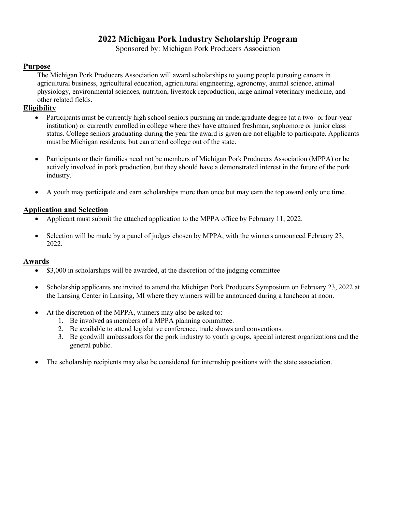# **2022 Michigan Pork Industry Scholarship Program**

Sponsored by: Michigan Pork Producers Association

#### **Purpose**

The Michigan Pork Producers Association will award scholarships to young people pursuing careers in agricultural business, agricultural education, agricultural engineering, agronomy, animal science, animal physiology, environmental sciences, nutrition, livestock reproduction, large animal veterinary medicine, and other related fields.

### **Eligibility**

- Participants must be currently high school seniors pursuing an undergraduate degree (at a two- or four-year institution) or currently enrolled in college where they have attained freshman, sophomore or junior class status. College seniors graduating during the year the award is given are not eligible to participate. Applicants must be Michigan residents, but can attend college out of the state.
- Participants or their families need not be members of Michigan Pork Producers Association (MPPA) or be actively involved in pork production, but they should have a demonstrated interest in the future of the pork industry.
- A youth may participate and earn scholarships more than once but may earn the top award only one time.

#### **Application and Selection**

- Applicant must submit the attached application to the MPPA office by February 11, 2022.
- Selection will be made by a panel of judges chosen by MPPA, with the winners announced February 23, 2022.

#### **Awards**

- \$3,000 in scholarships will be awarded, at the discretion of the judging committee
- Scholarship applicants are invited to attend the Michigan Pork Producers Symposium on February 23, 2022 at the Lansing Center in Lansing, MI where they winners will be announced during a luncheon at noon.
- At the discretion of the MPPA, winners may also be asked to:
	- 1. Be involved as members of a MPPA planning committee.
	- 2. Be available to attend legislative conference, trade shows and conventions.
	- 3. Be goodwill ambassadors for the pork industry to youth groups, special interest organizations and the general public.
- The scholarship recipients may also be considered for internship positions with the state association.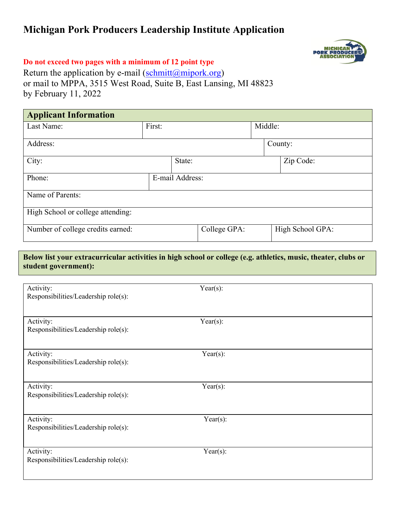# **Michigan Pork Producers Leadership Institute Application**



## **Do not exceed two pages with a minimum of 12 point type**

Return the application by e-mail (schmitt $(\alpha)$ mipork.org) or mail to MPPA, 3515 West Road, Suite B, East Lansing, MI 48823 by February 11, 2022

| <b>Applicant Information</b>      |        |                 |         |                  |  |
|-----------------------------------|--------|-----------------|---------|------------------|--|
| Last Name:                        | First: |                 | Middle: |                  |  |
| Address:                          |        |                 |         | County:          |  |
| City:                             |        | State:          |         | Zip Code:        |  |
| Phone:                            |        | E-mail Address: |         |                  |  |
| Name of Parents:                  |        |                 |         |                  |  |
| High School or college attending: |        |                 |         |                  |  |
| Number of college credits earned: |        | College GPA:    |         | High School GPA: |  |
|                                   |        |                 |         |                  |  |

## **Below list your extracurricular activities in high school or college (e.g. athletics, music, theater, clubs or student government):**

| Activity:<br>Responsibilities/Leadership role(s): | Year $(s)$ : |
|---------------------------------------------------|--------------|
| Activity:<br>Responsibilities/Leadership role(s): | Year $(s)$ : |
| Activity:<br>Responsibilities/Leadership role(s): | Year $(s)$ : |
| Activity:<br>Responsibilities/Leadership role(s): | Year $(s)$ : |
| Activity:<br>Responsibilities/Leadership role(s): | Year(s):     |
| Activity:<br>Responsibilities/Leadership role(s): | Year $(s)$ : |